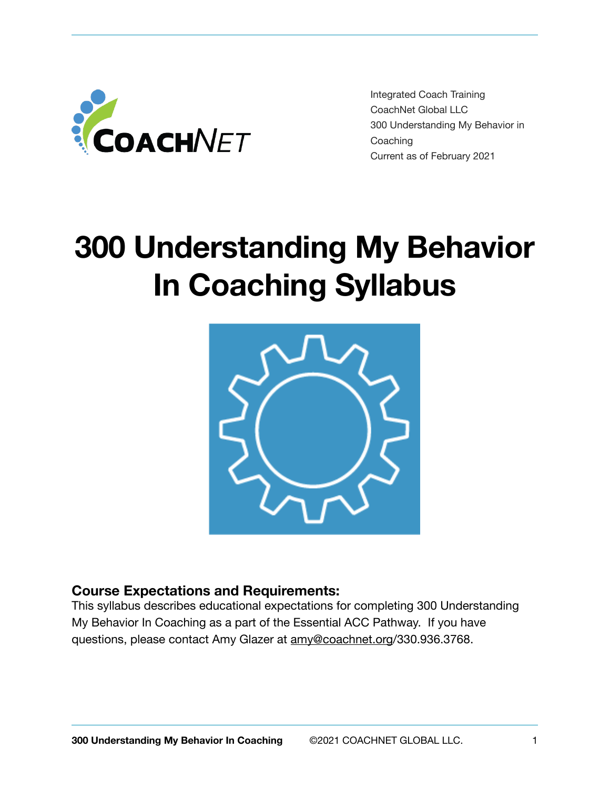

Integrated Coach Training CoachNet Global LLC 300 Understanding My Behavior in **Coaching** Current as of February 2021

# **300 Understanding My Behavior In Coaching Syllabus**



### **Course Expectations and Requirements:**

This syllabus describes educational expectations for completing 300 Understanding My Behavior In Coaching as a part of the Essential ACC Pathway. If you have questions, please contact Amy Glazer at [amy@coachnet.org/](mailto:amy@coachnet.org)330.936.3768.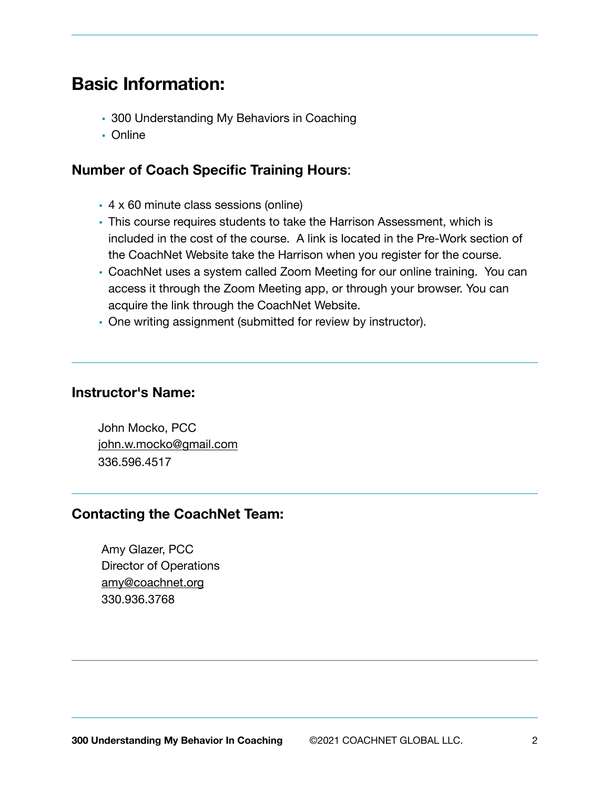## **Basic Information:**

- 300 Understanding My Behaviors in Coaching
- Online

#### **Number of Coach Specific Training Hours**:

- 4 x 60 minute class sessions (online)
- This course requires students to take the Harrison Assessment, which is included in the cost of the course. A link is located in the Pre-Work section of the CoachNet Website take the Harrison when you register for the course.
- CoachNet uses a system called Zoom Meeting for our online training. You can access it through the Zoom Meeting app, or through your browser. You can acquire the link through the CoachNet Website.
- One writing assignment (submitted for review by instructor).

#### **Instructor's Name:**

 John Mocko, PCC [john.w.mocko@gmail.com](mailto:john.w.mocko@gmail.com) 336.596.4517

### **Contacting the CoachNet Team:**

Amy Glazer, PCC Director of Operations [amy@coachnet.org](mailto:amy@coachnet.org) 330.936.3768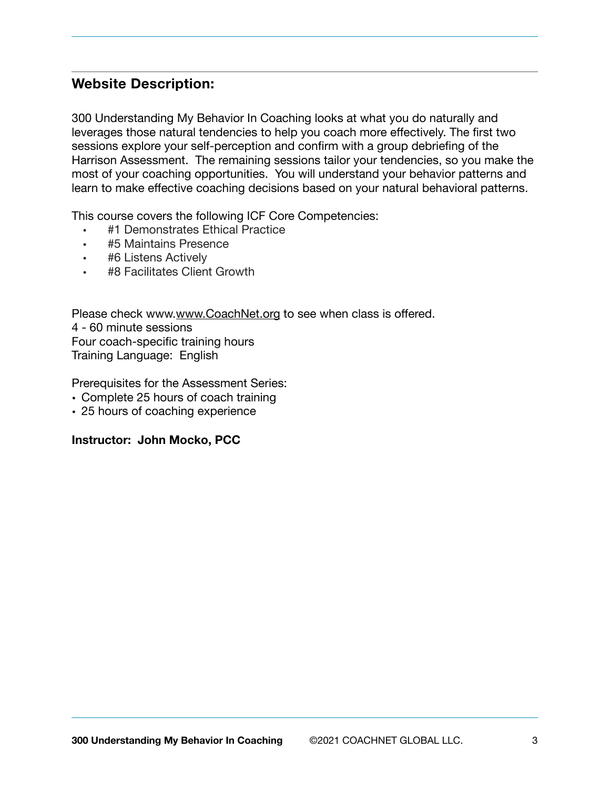## **Website Description:**

300 Understanding My Behavior In Coaching looks at what you do naturally and leverages those natural tendencies to help you coach more effectively. The first two sessions explore your self-perception and confirm with a group debriefing of the Harrison Assessment. The remaining sessions tailor your tendencies, so you make the most of your coaching opportunities. You will understand your behavior patterns and learn to make effective coaching decisions based on your natural behavioral patterns.

This course covers the following ICF Core Competencies:

- #1 Demonstrates Ethical Practice
- #5 Maintains Presence
- #6 Listens Actively
- #8 Facilitates Client Growth

Please check www.[www.CoachNet.org](http://CoachNet.org) to see when class is offered. 4 - 60 minute sessions Four coach-specific training hours Training Language: English

Prerequisites for the Assessment Series:

- Complete 25 hours of coach training
- 25 hours of coaching experience

**Instructor: John Mocko, PCC**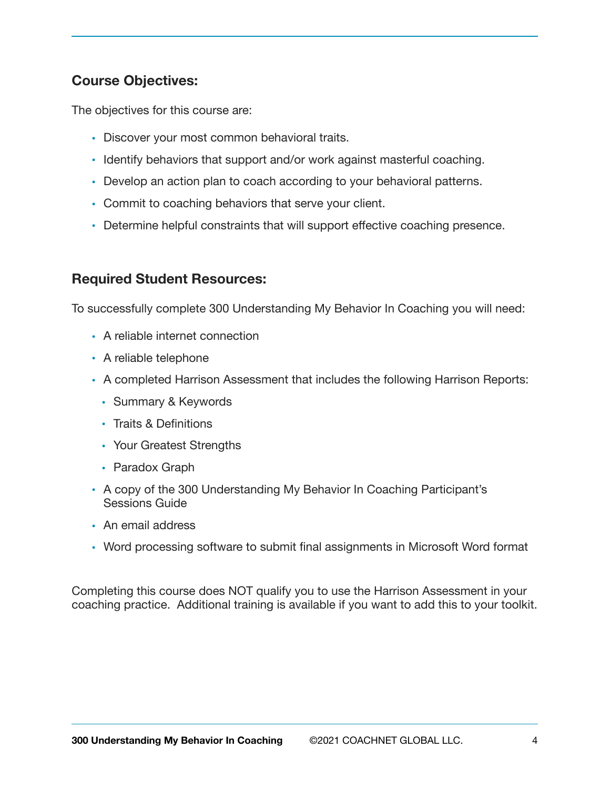## **Course Objectives:**

The objectives for this course are:

- Discover your most common behavioral traits.
- Identify behaviors that support and/or work against masterful coaching.
- Develop an action plan to coach according to your behavioral patterns.
- Commit to coaching behaviors that serve your client.
- Determine helpful constraints that will support effective coaching presence.

## **Required Student Resources:**

To successfully complete 300 Understanding My Behavior In Coaching you will need:

- A reliable internet connection
- A reliable telephone
- A completed Harrison Assessment that includes the following Harrison Reports:
	- Summary & Keywords
	- Traits & Definitions
	- Your Greatest Strengths
	- Paradox Graph
- A copy of the 300 Understanding My Behavior In Coaching Participant's Sessions Guide
- An email address
- Word processing software to submit final assignments in Microsoft Word format

Completing this course does NOT qualify you to use the Harrison Assessment in your coaching practice. Additional training is available if you want to add this to your toolkit.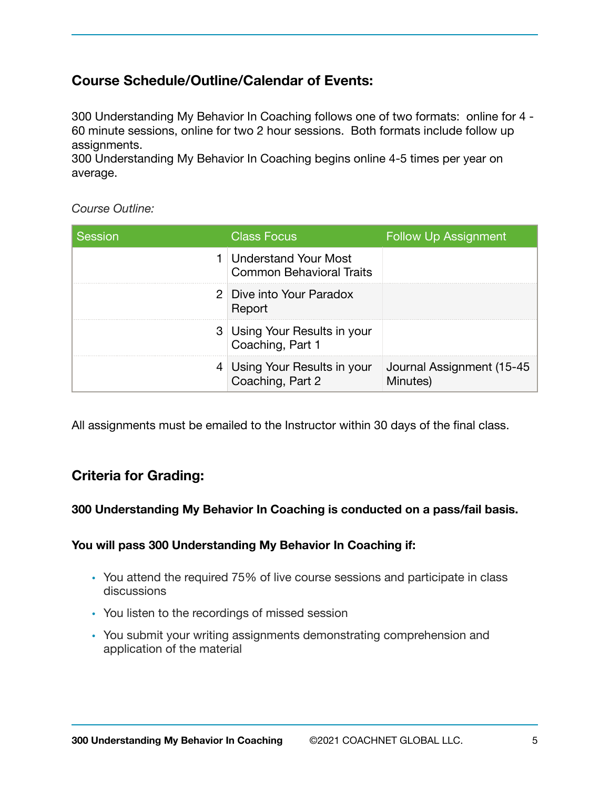## **Course Schedule/Outline/Calendar of Events:**

300 Understanding My Behavior In Coaching follows one of two formats: online for 4 - 60 minute sessions, online for two 2 hour sessions. Both formats include follow up assignments.

300 Understanding My Behavior In Coaching begins online 4-5 times per year on average.

#### *Course Outline:*

| Session | <b>Class Focus</b>                                             | <b>Follow Up Assignment</b>            |
|---------|----------------------------------------------------------------|----------------------------------------|
|         | <b>Understand Your Most</b><br><b>Common Behavioral Traits</b> |                                        |
|         | 2 Dive into Your Paradox<br>Report                             |                                        |
|         | 3 Using Your Results in your<br>Coaching, Part 1               |                                        |
|         | 4 Using Your Results in your<br>Coaching, Part 2               | Journal Assignment (15-45)<br>Minutes) |

All assignments must be emailed to the Instructor within 30 days of the final class.

## **Criteria for Grading:**

#### **300 Understanding My Behavior In Coaching is conducted on a pass/fail basis.**

#### **You will pass 300 Understanding My Behavior In Coaching if:**

- You attend the required 75% of live course sessions and participate in class discussions
- You listen to the recordings of missed session
- You submit your writing assignments demonstrating comprehension and application of the material